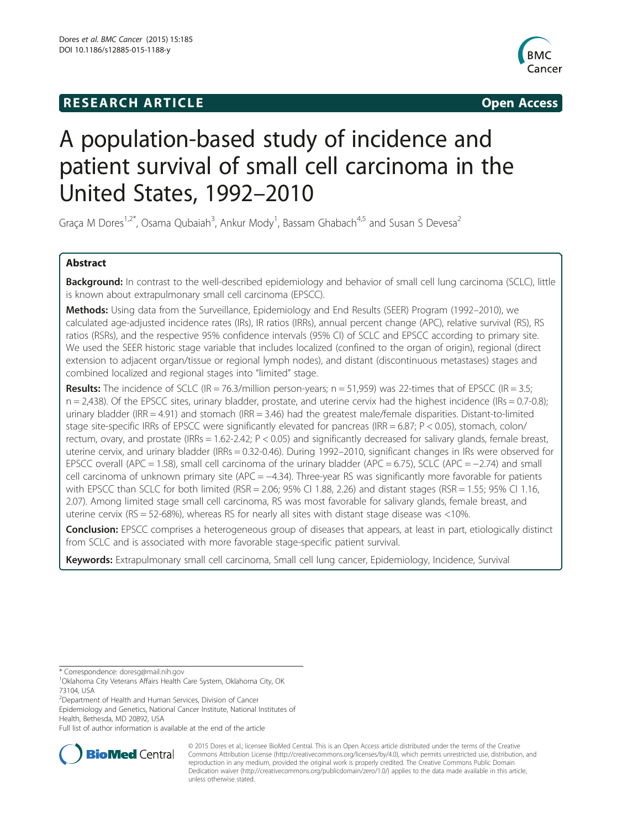### **RESEARCH ARTICLE Example 2014 12:30 The SEAR CHA RESEARCH ARTICLE**



# A population-based study of incidence and patient survival of small cell carcinoma in the United States, 1992–2010

Graça M Dores<sup>1,2\*</sup>, Osama Qubaiah<sup>3</sup>, Ankur Mody<sup>1</sup>, Bassam Ghabach<sup>4,5</sup> and Susan S Devesa<sup>2</sup>

### Abstract

Background: In contrast to the well-described epidemiology and behavior of small cell lung carcinoma (SCLC), little is known about extrapulmonary small cell carcinoma (EPSCC).

Methods: Using data from the Surveillance, Epidemiology and End Results (SEER) Program (1992–2010), we calculated age-adjusted incidence rates (IRs), IR ratios (IRRs), annual percent change (APC), relative survival (RS), RS ratios (RSRs), and the respective 95% confidence intervals (95% CI) of SCLC and EPSCC according to primary site. We used the SEER historic stage variable that includes localized (confined to the organ of origin), regional (direct extension to adjacent organ/tissue or regional lymph nodes), and distant (discontinuous metastases) stages and combined localized and regional stages into "limited" stage.

Results: The incidence of SCLC (IR = 76.3/million person-years;  $n = 51,959$ ) was 22-times that of EPSCC (IR = 3.5;  $n = 2,438$ ). Of the EPSCC sites, urinary bladder, prostate, and uterine cervix had the highest incidence (IRs = 0.7-0.8); urinary bladder (IRR = 4.91) and stomach (IRR = 3.46) had the greatest male/female disparities. Distant-to-limited stage site-specific IRRs of EPSCC were significantly elevated for pancreas (IRR = 6.87;  $P < 0.05$ ), stomach, colon/ rectum, ovary, and prostate (IRRs = 1.62-2.42;  $P < 0.05$ ) and significantly decreased for salivary glands, female breast, uterine cervix, and urinary bladder (IRRs = 0.32-0.46). During 1992–2010, significant changes in IRs were observed for EPSCC overall (APC = 1.58), small cell carcinoma of the urinary bladder (APC = 6.75), SCLC (APC = −2.74) and small cell carcinoma of unknown primary site (APC = -4.34). Three-year RS was significantly more favorable for patients with EPSCC than SCLC for both limited (RSR = 2.06; 95% CI 1.88, 2.26) and distant stages (RSR = 1.55; 95% CI 1.16, 2.07). Among limited stage small cell carcinoma, RS was most favorable for salivary glands, female breast, and uterine cervix ( $RS = 52-68$ %), whereas RS for nearly all sites with distant stage disease was  $<10$ %.

Conclusion: EPSCC comprises a heterogeneous group of diseases that appears, at least in part, etiologically distinct from SCLC and is associated with more favorable stage-specific patient survival.

Keywords: Extrapulmonary small cell carcinoma, Small cell lung cancer, Epidemiology, Incidence, Survival

\* Correspondence: [doresg@mail.nih.gov](mailto:doresg@mail.nih.gov) <sup>1</sup>

Oklahoma City Veterans Affairs Health Care System, Oklahoma City, OK 73104, USA

<sup>2</sup>Department of Health and Human Services, Division of Cancer

Epidemiology and Genetics, National Cancer Institute, National Institutes of Health, Bethesda, MD 20892, USA

Full list of author information is available at the end of the article



© 2015 Dores et al.; licensee BioMed Central. This is an Open Access article distributed under the terms of the Creative Commons Attribution License [\(http://creativecommons.org/licenses/by/4.0\)](http://creativecommons.org/licenses/by/4.0), which permits unrestricted use, distribution, and reproduction in any medium, provided the original work is properly credited. The Creative Commons Public Domain Dedication waiver [\(http://creativecommons.org/publicdomain/zero/1.0/](http://creativecommons.org/publicdomain/zero/1.0/)) applies to the data made available in this article, unless otherwise stated.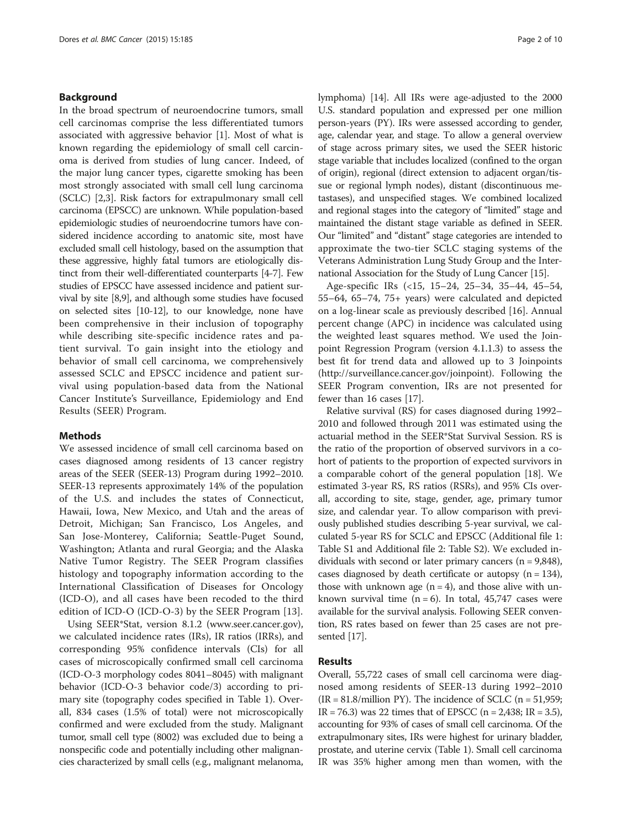#### Background

In the broad spectrum of neuroendocrine tumors, small cell carcinomas comprise the less differentiated tumors associated with aggressive behavior [\[1\]](#page-8-0). Most of what is known regarding the epidemiology of small cell carcinoma is derived from studies of lung cancer. Indeed, of the major lung cancer types, cigarette smoking has been most strongly associated with small cell lung carcinoma (SCLC) [[2,3\]](#page-8-0). Risk factors for extrapulmonary small cell carcinoma (EPSCC) are unknown. While population-based epidemiologic studies of neuroendocrine tumors have considered incidence according to anatomic site, most have excluded small cell histology, based on the assumption that these aggressive, highly fatal tumors are etiologically distinct from their well-differentiated counterparts [\[4-7](#page-8-0)]. Few studies of EPSCC have assessed incidence and patient survival by site [[8,9](#page-8-0)], and although some studies have focused on selected sites [[10](#page-8-0)-[12\]](#page-8-0), to our knowledge, none have been comprehensive in their inclusion of topography while describing site-specific incidence rates and patient survival. To gain insight into the etiology and behavior of small cell carcinoma, we comprehensively assessed SCLC and EPSCC incidence and patient survival using population-based data from the National Cancer Institute's Surveillance, Epidemiology and End Results (SEER) Program.

#### **Methods**

We assessed incidence of small cell carcinoma based on cases diagnosed among residents of 13 cancer registry areas of the SEER (SEER-13) Program during 1992–2010. SEER-13 represents approximately 14% of the population of the U.S. and includes the states of Connecticut, Hawaii, Iowa, New Mexico, and Utah and the areas of Detroit, Michigan; San Francisco, Los Angeles, and San Jose-Monterey, California; Seattle-Puget Sound, Washington; Atlanta and rural Georgia; and the Alaska Native Tumor Registry. The SEER Program classifies histology and topography information according to the International Classification of Diseases for Oncology (ICD-O), and all cases have been recoded to the third edition of ICD-O (ICD-O-3) by the SEER Program [[13\]](#page-8-0).

Using SEER\*Stat, version 8.1.2 ([www.seer.cancer.gov](http://www.seer.cancer.gov)), we calculated incidence rates (IRs), IR ratios (IRRs), and corresponding 95% confidence intervals (CIs) for all cases of microscopically confirmed small cell carcinoma (ICD-O-3 morphology codes 8041–8045) with malignant behavior (ICD-O-3 behavior code/3) according to primary site (topography codes specified in Table [1](#page-2-0)). Overall, 834 cases (1.5% of total) were not microscopically confirmed and were excluded from the study. Malignant tumor, small cell type (8002) was excluded due to being a nonspecific code and potentially including other malignancies characterized by small cells (e.g., malignant melanoma, lymphoma) [[14](#page-8-0)]. All IRs were age-adjusted to the 2000 U.S. standard population and expressed per one million person-years (PY). IRs were assessed according to gender, age, calendar year, and stage. To allow a general overview of stage across primary sites, we used the SEER historic stage variable that includes localized (confined to the organ of origin), regional (direct extension to adjacent organ/tissue or regional lymph nodes), distant (discontinuous metastases), and unspecified stages. We combined localized and regional stages into the category of "limited" stage and maintained the distant stage variable as defined in SEER. Our "limited" and "distant" stage categories are intended to approximate the two-tier SCLC staging systems of the Veterans Administration Lung Study Group and the International Association for the Study of Lung Cancer [\[15\]](#page-8-0).

Age-specific IRs (<15, 15–24, 25–34, 35–44, 45–54, 55–64, 65–74, 75+ years) were calculated and depicted on a log-linear scale as previously described [\[16](#page-8-0)]. Annual percent change (APC) in incidence was calculated using the weighted least squares method. We used the Joinpoint Regression Program (version 4.1.1.3) to assess the best fit for trend data and allowed up to 3 Joinpoints (<http://surveillance.cancer.gov/joinpoint>). Following the SEER Program convention, IRs are not presented for fewer than 16 cases [[17\]](#page-8-0).

Relative survival (RS) for cases diagnosed during 1992– 2010 and followed through 2011 was estimated using the actuarial method in the SEER\*Stat Survival Session. RS is the ratio of the proportion of observed survivors in a cohort of patients to the proportion of expected survivors in a comparable cohort of the general population [[18](#page-8-0)]. We estimated 3-year RS, RS ratios (RSRs), and 95% CIs overall, according to site, stage, gender, age, primary tumor size, and calendar year. To allow comparison with previously published studies describing 5-year survival, we calculated 5-year RS for SCLC and EPSCC (Additional file [1](#page-8-0): Table S1 and Additional file [2](#page-8-0): Table S2). We excluded individuals with second or later primary cancers  $(n = 9,848)$ , cases diagnosed by death certificate or autopsy  $(n = 134)$ , those with unknown age  $(n = 4)$ , and those alive with unknown survival time  $(n = 6)$ . In total, 45,747 cases were available for the survival analysis. Following SEER convention, RS rates based on fewer than 25 cases are not presented [\[17\]](#page-8-0).

#### Results

Overall, 55,722 cases of small cell carcinoma were diagnosed among residents of SEER-13 during 1992–2010  $(IR = 81.8/million PY)$ . The incidence of SCLC  $(n = 51,959;$ IR = 76.3) was 22 times that of EPSCC ( $n = 2,438$ ; IR = 3.5), accounting for 93% of cases of small cell carcinoma. Of the extrapulmonary sites, IRs were highest for urinary bladder, prostate, and uterine cervix (Table [1](#page-2-0)). Small cell carcinoma IR was 35% higher among men than women, with the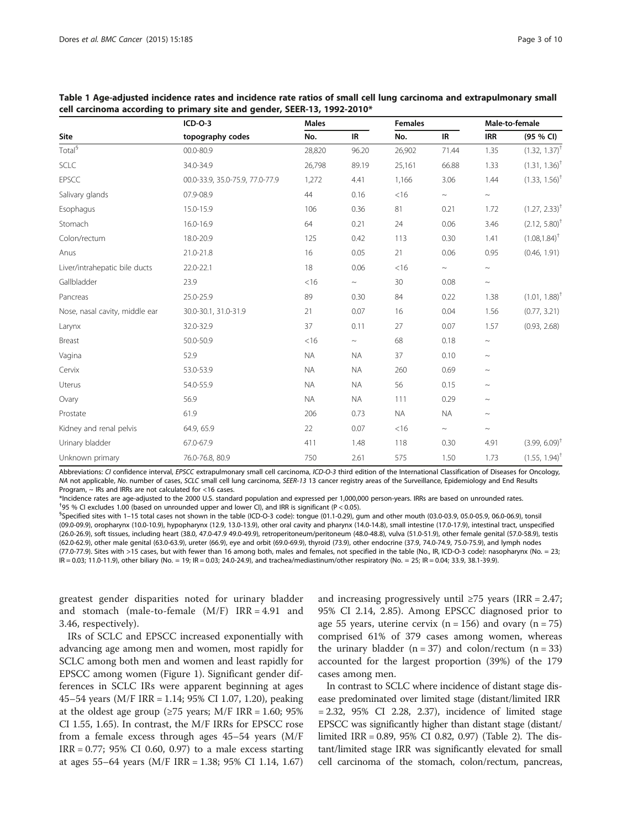|                                | ICD-0-3                         | <b>Males</b> |           | <b>Females</b> |           | Male-to-female            |                          |
|--------------------------------|---------------------------------|--------------|-----------|----------------|-----------|---------------------------|--------------------------|
| Site                           | topography codes                | No.          | IR.       | No.            | IR.       | <b>IRR</b>                | (95 % CI)                |
| Total <sup>§</sup>             | 00.0-80.9                       | 28,820       | 96.20     | 26,902         | 71.44     | 1.35                      | $(1.32, 1.37)^{+}$       |
| SCLC                           | 34.0-34.9                       | 26,798       | 89.19     | 25,161         | 66.88     | 1.33                      | $(1.31, 1.36)^{\dagger}$ |
| <b>EPSCC</b>                   | 00.0-33.9, 35.0-75.9, 77.0-77.9 | 1,272        | 4.41      | 1,166          | 3.06      | 1.44                      | $(1.33, 1.56)^{\dagger}$ |
| Salivary glands                | 07.9-08.9                       | 44           | 0.16      | $<$ 16         | $\sim$    | $\sim$                    |                          |
| Esophagus                      | 15.0-15.9                       | 106          | 0.36      | 81             | 0.21      | 1.72                      | $(1.27, 2.33)^{+}$       |
| Stomach                        | 16.0-16.9                       | 64           | 0.21      | 24             | 0.06      | 3.46                      | $(2.12, 5.80)^{+}$       |
| Colon/rectum                   | 18.0-20.9                       | 125          | 0.42      | 113            | 0.30      | 1.41                      | $(1.08, 1.84)^+$         |
| Anus                           | 21.0-21.8                       | 16           | 0.05      | 21             | 0.06      | 0.95                      | (0.46, 1.91)             |
| Liver/intrahepatic bile ducts  | 22.0-22.1                       | 18           | 0.06      | $<$ 16         | $\sim$    | $\sim$                    |                          |
| Gallbladder                    | 23.9                            | $<16$        | $\sim$    | 30             | 0.08      | $\sim$                    |                          |
| Pancreas                       | 25.0-25.9                       | 89           | 0.30      | 84             | 0.22      | 1.38                      | $(1.01, 1.88)^+$         |
| Nose, nasal cavity, middle ear | 30.0-30.1, 31.0-31.9            | 21           | 0.07      | 16             | 0.04      | 1.56                      | (0.77, 3.21)             |
| Larynx                         | 32.0-32.9                       | 37           | 0.11      | 27             | 0.07      | 1.57                      | (0.93, 2.68)             |
| Breast                         | 50.0-50.9                       | $<$ 16       | $\sim$    | 68             | 0.18      | $\sim$                    |                          |
| Vagina                         | 52.9                            | <b>NA</b>    | <b>NA</b> | 37             | 0.10      | $\sim$                    |                          |
| Cervix                         | 53.0-53.9                       | <b>NA</b>    | <b>NA</b> | 260            | 0.69      | $\sim$                    |                          |
| Uterus                         | 54.0-55.9                       | <b>NA</b>    | <b>NA</b> | 56             | 0.15      | $\sim$                    |                          |
| Ovary                          | 56.9                            | <b>NA</b>    | <b>NA</b> | 111            | 0.29      | $\sim$                    |                          |
| Prostate                       | 61.9                            | 206          | 0.73      | <b>NA</b>      | <b>NA</b> | $\widetilde{\phantom{m}}$ |                          |
| Kidney and renal pelvis        | 64.9, 65.9                      | 22           | 0.07      | $<$ 16         | $\sim$    | $\sim$                    |                          |
| Urinary bladder                | 67.0-67.9                       | 411          | 1.48      | 118            | 0.30      | 4.91                      | $(3.99, 6.09)^{\dagger}$ |
| Unknown primary                | 76.0-76.8, 80.9                 | 750          | 2.61      | 575            | 1.50      | 1.73                      | $(1.55, 1.94)^{\dagger}$ |

<span id="page-2-0"></span>Table 1 Age-adjusted incidence rates and incidence rate ratios of small cell lung carcinoma and extrapulmonary small cell carcinoma according to primary site and gender, SEER-13, 1992-2010\*

Abbreviations: CI confidence interval, EPSCC extrapulmonary small cell carcinoma, ICD-O-3 third edition of the International Classification of Diseases for Oncology, NA not applicable, No. number of cases, SCLC small cell lung carcinoma, SEER-13 13 cancer registry areas of the Surveillance, Epidemiology and End Results Program, ~ IRs and IRRs are not calculated for <16 cases.

\*Incidence rates are age-adjusted to the 2000 U.S. standard population and expressed per 1,000,000 person-years. IRRs are based on unrounded rates. † 95 % CI excludes 1.00 (based on unrounded upper and lower CI), and IRR is significant (P < 0.05).

§ Specified sites with 1–15 total cases not shown in the table (ICD-O-3 code): tongue (01.1-0.29), gum and other mouth (03.0-03.9, 05.0-05.9, 06.0-06.9), tonsil (09.0-09.9), oropharynx (10.0-10.9), hypopharynx (12.9, 13.0-13.9), other oral cavity and pharynx (14.0-14.8), small intestine (17.0-17.9), intestinal tract, unspecified (26.0-26.9), soft tissues, including heart (38.0, 47.0-47.9 49.0-49.9), retroperitoneum/peritoneum (48.0-48.8), vulva (51.0-51.9), other female genital (57.0-58.9), testis (62.0-62.9), other male genital (63.0-63.9), ureter (66.9), eye and orbit (69.0-69.9), thyroid (73.9), other endocrine (37.9, 74.0-74.9, 75.0-75.9), and lymph nodes (77.0-77.9). Sites with >15 cases, but with fewer than 16 among both, males and females, not specified in the table (No., IR, ICD-O-3 code): nasopharynx (No. = 23; IR = 0.03; 11.0-11.9), other biliary (No. = 19; IR = 0.03; 24.0-24.9), and trachea/mediastinum/other respiratory (No. = 25; IR = 0.04; 33.9, 38.1-39.9).

greatest gender disparities noted for urinary bladder and stomach (male-to-female (M/F) IRR = 4.91 and 3.46, respectively).

IRs of SCLC and EPSCC increased exponentially with advancing age among men and women, most rapidly for SCLC among both men and women and least rapidly for EPSCC among women (Figure [1](#page-3-0)). Significant gender differences in SCLC IRs were apparent beginning at ages 45–54 years (M/F IRR = 1.14; 95% CI 1.07, 1.20), peaking at the oldest age group ( $\geq 75$  years; M/F IRR = 1.60; 95% CI 1.55, 1.65). In contrast, the M/F IRRs for EPSCC rose from a female excess through ages 45–54 years (M/F  $IRR = 0.77$ ; 95% CI 0.60, 0.97) to a male excess starting at ages 55–64 years (M/F IRR = 1.38; 95% CI 1.14, 1.67) and increasing progressively until  $\geq 75$  years (IRR = 2.47; 95% CI 2.14, 2.85). Among EPSCC diagnosed prior to age 55 years, uterine cervix  $(n = 156)$  and ovary  $(n = 75)$ comprised 61% of 379 cases among women, whereas the urinary bladder  $(n = 37)$  and colon/rectum  $(n = 33)$ accounted for the largest proportion (39%) of the 179 cases among men.

In contrast to SCLC where incidence of distant stage disease predominated over limited stage (distant/limited IRR = 2.32, 95% CI 2.28, 2.37), incidence of limited stage EPSCC was significantly higher than distant stage (distant/ limited IRR = 0.89, 95% CI 0.82, 0.97) (Table [2](#page-3-0)). The distant/limited stage IRR was significantly elevated for small cell carcinoma of the stomach, colon/rectum, pancreas,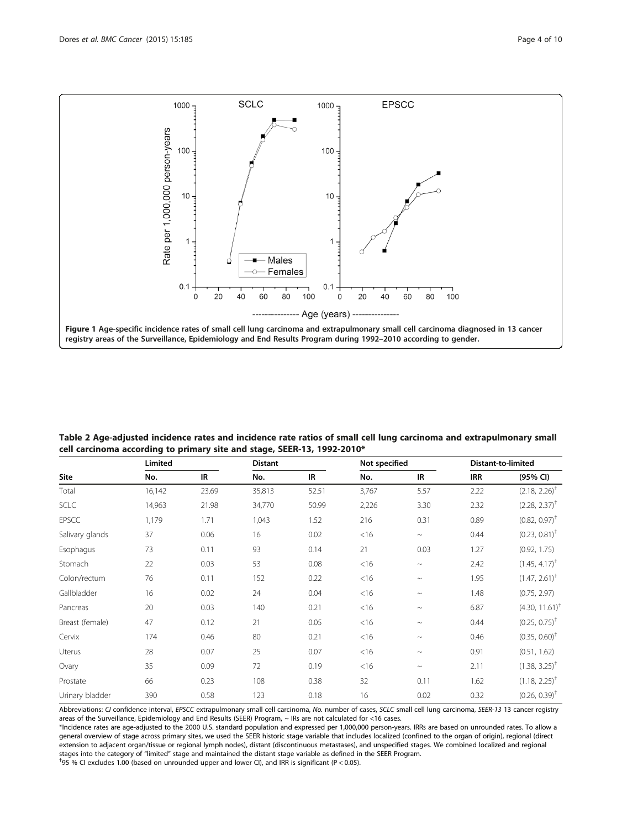<span id="page-3-0"></span>

Table 2 Age-adjusted incidence rates and incidence rate ratios of small cell lung carcinoma and extrapulmonary small cell carcinoma according to primary site and stage, SEER-13, 1992-2010\*

|                 | Limited |           | <b>Distant</b> |           | Not specified |                           | <b>Distant-to-limited</b> |                          |
|-----------------|---------|-----------|----------------|-----------|---------------|---------------------------|---------------------------|--------------------------|
| Site            | No.     | <b>IR</b> | No.            | <b>IR</b> | No.           | <b>IR</b>                 | <b>IRR</b>                | (95% CI)                 |
| Total           | 16,142  | 23.69     | 35,813         | 52.51     | 3,767         | 5.57                      | 2.22                      | $(2.18, 2.26)^{\dagger}$ |
| SCLC            | 14,963  | 21.98     | 34,770         | 50.99     | 2,226         | 3.30                      | 2.32                      | $(2.28, 2.37)^+$         |
| <b>EPSCC</b>    | 1,179   | 1.71      | 1,043          | 1.52      | 216           | 0.31                      | 0.89                      | $(0.82, 0.97)^{\dagger}$ |
| Salivary glands | 37      | 0.06      | 16             | 0.02      | $<$ 16        | $\sim$                    | 0.44                      | $(0.23, 0.81)^{\dagger}$ |
| Esophagus       | 73      | 0.11      | 93             | 0.14      | 21            | 0.03                      | 1.27                      | (0.92, 1.75)             |
| Stomach         | 22      | 0.03      | 53             | 0.08      | $<$ 16        | $\widetilde{\phantom{m}}$ | 2.42                      | $(1.45, 4.17)^{+}$       |
| Colon/rectum    | 76      | 0.11      | 152            | 0.22      | $<$ 16        | $\widetilde{\phantom{m}}$ | 1.95                      | $(1.47, 2.61)^{\dagger}$ |
| Gallbladder     | 16      | 0.02      | 24             | 0.04      | $<$ 16        | $\widetilde{\phantom{m}}$ | 1.48                      | (0.75, 2.97)             |
| Pancreas        | 20      | 0.03      | 140            | 0.21      | $<$ 16        | $\widetilde{\phantom{m}}$ | 6.87                      | $(4.30, 11.61)^+$        |
| Breast (female) | 47      | 0.12      | 21             | 0.05      | $<$ 16        | $\widetilde{\phantom{m}}$ | 0.44                      | $(0.25, 0.75)^{\dagger}$ |
| Cervix          | 174     | 0.46      | 80             | 0.21      | $<$ 16        | $\widetilde{\phantom{m}}$ | 0.46                      | $(0.35, 0.60)^{\dagger}$ |
| Uterus          | 28      | 0.07      | 25             | 0.07      | $<$ 16        | $\widetilde{\phantom{m}}$ | 0.91                      | (0.51, 1.62)             |
| Ovary           | 35      | 0.09      | 72             | 0.19      | $<$ 16        | $\sim$                    | 2.11                      | $(1.38, 3.25)^{\dagger}$ |
| Prostate        | 66      | 0.23      | 108            | 0.38      | 32            | 0.11                      | 1.62                      | $(1.18, 2.25)^{+}$       |
| Urinary bladder | 390     | 0.58      | 123            | 0.18      | 16            | 0.02                      | 0.32                      | $(0.26, 0.39)^{\dagger}$ |

Abbreviations: CI confidence interval, EPSCC extrapulmonary small cell carcinoma, No. number of cases, SCLC small cell lung carcinoma, SEER-13 13 cancer registry areas of the Surveillance, Epidemiology and End Results (SEER) Program, ~ IRs are not calculated for <16 cases.

\*Incidence rates are age-adjusted to the 2000 U.S. standard population and expressed per 1,000,000 person-years. IRRs are based on unrounded rates. To allow a general overview of stage across primary sites, we used the SEER historic stage variable that includes localized (confined to the organ of origin), regional (direct extension to adjacent organ/tissue or regional lymph nodes), distant (discontinuous metastases), and unspecified stages. We combined localized and regional stages into the category of "limited" stage and maintained the distant stage variable as defined in the SEER Program. †

95 % CI excludes 1.00 (based on unrounded upper and lower CI), and IRR is significant (P < 0.05).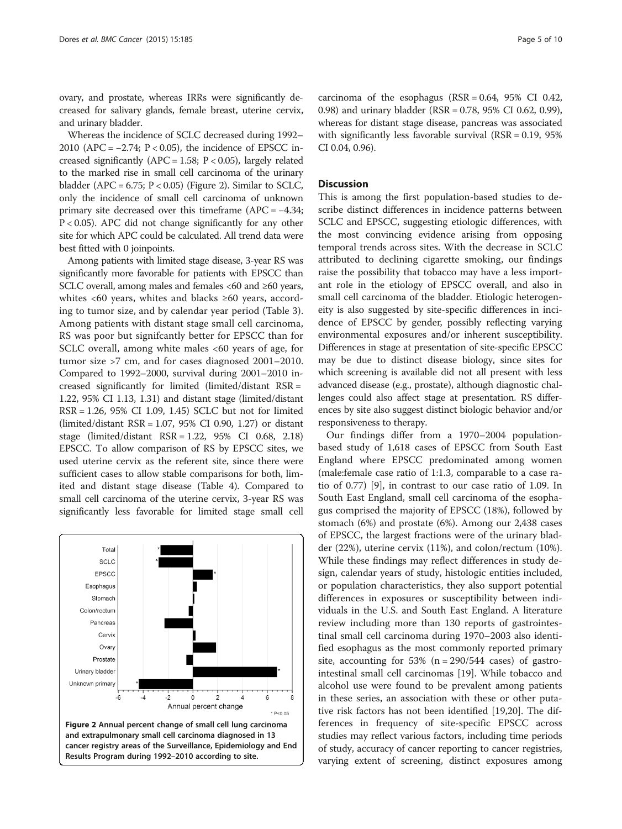ovary, and prostate, whereas IRRs were significantly decreased for salivary glands, female breast, uterine cervix, and urinary bladder.

Whereas the incidence of SCLC decreased during 1992– 2010 (APC = −2.74; P < 0.05), the incidence of EPSCC increased significantly (APC = 1.58;  $P < 0.05$ ), largely related to the marked rise in small cell carcinoma of the urinary bladder (APC =  $6.75$ ; P <  $0.05$ ) (Figure 2). Similar to SCLC, only the incidence of small cell carcinoma of unknown primary site decreased over this timeframe (APC = −4.34; P < 0.05). APC did not change significantly for any other site for which APC could be calculated. All trend data were best fitted with 0 joinpoints.

Among patients with limited stage disease, 3-year RS was significantly more favorable for patients with EPSCC than SCLC overall, among males and females <60 and ≥60 years, whites <60 years, whites and blacks ≥60 years, according to tumor size, and by calendar year period (Table [3](#page-5-0)). Among patients with distant stage small cell carcinoma, RS was poor but signifcantly better for EPSCC than for SCLC overall, among white males <60 years of age, for tumor size >7 cm, and for cases diagnosed 2001–2010. Compared to 1992–2000, survival during 2001–2010 increased significantly for limited (limited/distant RSR = 1.22, 95% CI 1.13, 1.31) and distant stage (limited/distant RSR = 1.26, 95% CI 1.09, 1.45) SCLC but not for limited (limited/distant RSR = 1.07, 95% CI 0.90, 1.27) or distant stage (limited/distant RSR = 1.22, 95% CI 0.68, 2.18) EPSCC. To allow comparison of RS by EPSCC sites, we used uterine cervix as the referent site, since there were sufficient cases to allow stable comparisons for both, limited and distant stage disease (Table [4](#page-7-0)). Compared to small cell carcinoma of the uterine cervix, 3-year RS was significantly less favorable for limited stage small cell



carcinoma of the esophagus  $(RSR = 0.64, 95\% \text{ CI } 0.42,$ 0.98) and urinary bladder (RSR = 0.78, 95% CI 0.62, 0.99), whereas for distant stage disease, pancreas was associated with significantly less favorable survival (RSR = 0.19, 95%) CI 0.04, 0.96).

#### **Discussion**

This is among the first population-based studies to describe distinct differences in incidence patterns between SCLC and EPSCC, suggesting etiologic differences, with the most convincing evidence arising from opposing temporal trends across sites. With the decrease in SCLC attributed to declining cigarette smoking, our findings raise the possibility that tobacco may have a less important role in the etiology of EPSCC overall, and also in small cell carcinoma of the bladder. Etiologic heterogeneity is also suggested by site-specific differences in incidence of EPSCC by gender, possibly reflecting varying environmental exposures and/or inherent susceptibility. Differences in stage at presentation of site-specific EPSCC may be due to distinct disease biology, since sites for which screening is available did not all present with less advanced disease (e.g., prostate), although diagnostic challenges could also affect stage at presentation. RS differences by site also suggest distinct biologic behavior and/or responsiveness to therapy.

Our findings differ from a 1970–2004 populationbased study of 1,618 cases of EPSCC from South East England where EPSCC predominated among women (male:female case ratio of 1:1.3, comparable to a case ratio of 0.77) [\[9](#page-8-0)], in contrast to our case ratio of 1.09. In South East England, small cell carcinoma of the esophagus comprised the majority of EPSCC (18%), followed by stomach (6%) and prostate (6%). Among our 2,438 cases of EPSCC, the largest fractions were of the urinary bladder (22%), uterine cervix (11%), and colon/rectum (10%). While these findings may reflect differences in study design, calendar years of study, histologic entities included, or population characteristics, they also support potential differences in exposures or susceptibility between individuals in the U.S. and South East England. A literature review including more than 130 reports of gastrointestinal small cell carcinoma during 1970–2003 also identified esophagus as the most commonly reported primary site, accounting for  $53\%$  (n = 290/544 cases) of gastrointestinal small cell carcinomas [\[19](#page-8-0)]. While tobacco and alcohol use were found to be prevalent among patients in these series, an association with these or other putative risk factors has not been identified [\[19,20\]](#page-8-0). The differences in frequency of site-specific EPSCC across studies may reflect various factors, including time periods of study, accuracy of cancer reporting to cancer registries, varying extent of screening, distinct exposures among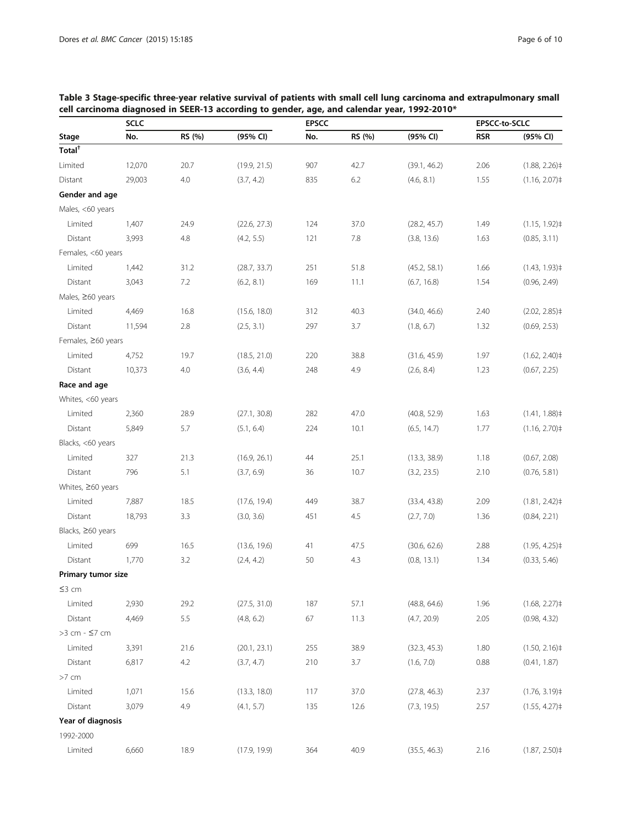| RS (%)<br>Stage<br>No.<br>(95% CI)<br>RS (%)<br>(95% CI)<br><b>RSR</b><br>(95% CI)<br>No.<br>Total <sup>+</sup><br>Limited<br>12,070<br>20.7<br>907<br>(19.9, 21.5)<br>42.7<br>(39.1, 46.2)<br>2.06<br>$(1.88, 2.26)$ ‡<br>Distant<br>29,003<br>$4.0\,$<br>(3.7, 4.2)<br>835<br>6.2<br>(4.6, 8.1)<br>1.55<br>(1.16, 2.07)<br>Gender and age<br>Males, <60 years<br>Limited<br>24.9<br>37.0<br>1,407<br>(22.6, 27.3)<br>124<br>(28.2, 45.7)<br>1.49<br>(1.15, 1.92)<br>Distant<br>$4.8\,$<br>$7.8\,$<br>3,993<br>(4.2, 5.5)<br>121<br>(3.8, 13.6)<br>1.63<br>(0.85, 3.11)<br>Females, <60 years<br>31.2<br>51.8<br>Limited<br>1,442<br>(28.7, 33.7)<br>251<br>(45.2, 58.1)<br>1.66<br>(1.43, 1.93)<br>Distant<br>7.2<br>169<br>3,043<br>(6.2, 8.1)<br>11.1<br>1.54<br>(0.96, 2.49)<br>(6.7, 16.8)<br>Males, ≥60 years<br>Limited<br>16.8<br>40.3<br>2.40<br>4,469<br>(15.6, 18.0)<br>312<br>(34.0, 46.6)<br>$(2.02, 2.85)$ ‡<br>$2.8\,$<br>Distant<br>(2.5, 3.1)<br>297<br>3.7<br>(1.8, 6.7)<br>1.32<br>11,594<br>(0.69, 2.53)<br>Females, ≥60 years<br>4,752<br>19.7<br>(18.5, 21.0)<br>220<br>38.8<br>(31.6, 45.9)<br>1.97<br>(1.62, 2.40)<br>Limited | EPSCC-to-SCLC |  |
|--------------------------------------------------------------------------------------------------------------------------------------------------------------------------------------------------------------------------------------------------------------------------------------------------------------------------------------------------------------------------------------------------------------------------------------------------------------------------------------------------------------------------------------------------------------------------------------------------------------------------------------------------------------------------------------------------------------------------------------------------------------------------------------------------------------------------------------------------------------------------------------------------------------------------------------------------------------------------------------------------------------------------------------------------------------------------------------------------------------------------------------------------------|---------------|--|
|                                                                                                                                                                                                                                                                                                                                                                                                                                                                                                                                                                                                                                                                                                                                                                                                                                                                                                                                                                                                                                                                                                                                                        |               |  |
|                                                                                                                                                                                                                                                                                                                                                                                                                                                                                                                                                                                                                                                                                                                                                                                                                                                                                                                                                                                                                                                                                                                                                        |               |  |
|                                                                                                                                                                                                                                                                                                                                                                                                                                                                                                                                                                                                                                                                                                                                                                                                                                                                                                                                                                                                                                                                                                                                                        |               |  |
|                                                                                                                                                                                                                                                                                                                                                                                                                                                                                                                                                                                                                                                                                                                                                                                                                                                                                                                                                                                                                                                                                                                                                        |               |  |
|                                                                                                                                                                                                                                                                                                                                                                                                                                                                                                                                                                                                                                                                                                                                                                                                                                                                                                                                                                                                                                                                                                                                                        |               |  |
|                                                                                                                                                                                                                                                                                                                                                                                                                                                                                                                                                                                                                                                                                                                                                                                                                                                                                                                                                                                                                                                                                                                                                        |               |  |
|                                                                                                                                                                                                                                                                                                                                                                                                                                                                                                                                                                                                                                                                                                                                                                                                                                                                                                                                                                                                                                                                                                                                                        |               |  |
|                                                                                                                                                                                                                                                                                                                                                                                                                                                                                                                                                                                                                                                                                                                                                                                                                                                                                                                                                                                                                                                                                                                                                        |               |  |
|                                                                                                                                                                                                                                                                                                                                                                                                                                                                                                                                                                                                                                                                                                                                                                                                                                                                                                                                                                                                                                                                                                                                                        |               |  |
|                                                                                                                                                                                                                                                                                                                                                                                                                                                                                                                                                                                                                                                                                                                                                                                                                                                                                                                                                                                                                                                                                                                                                        |               |  |
|                                                                                                                                                                                                                                                                                                                                                                                                                                                                                                                                                                                                                                                                                                                                                                                                                                                                                                                                                                                                                                                                                                                                                        |               |  |
|                                                                                                                                                                                                                                                                                                                                                                                                                                                                                                                                                                                                                                                                                                                                                                                                                                                                                                                                                                                                                                                                                                                                                        |               |  |
|                                                                                                                                                                                                                                                                                                                                                                                                                                                                                                                                                                                                                                                                                                                                                                                                                                                                                                                                                                                                                                                                                                                                                        |               |  |
|                                                                                                                                                                                                                                                                                                                                                                                                                                                                                                                                                                                                                                                                                                                                                                                                                                                                                                                                                                                                                                                                                                                                                        |               |  |
|                                                                                                                                                                                                                                                                                                                                                                                                                                                                                                                                                                                                                                                                                                                                                                                                                                                                                                                                                                                                                                                                                                                                                        |               |  |
|                                                                                                                                                                                                                                                                                                                                                                                                                                                                                                                                                                                                                                                                                                                                                                                                                                                                                                                                                                                                                                                                                                                                                        |               |  |
| 4.0<br>(3.6, 4.4)<br>4.9<br>Distant<br>10,373<br>248<br>(2.6, 8.4)<br>1.23<br>(0.67, 2.25)                                                                                                                                                                                                                                                                                                                                                                                                                                                                                                                                                                                                                                                                                                                                                                                                                                                                                                                                                                                                                                                             |               |  |
| Race and age                                                                                                                                                                                                                                                                                                                                                                                                                                                                                                                                                                                                                                                                                                                                                                                                                                                                                                                                                                                                                                                                                                                                           |               |  |
| Whites, <60 years                                                                                                                                                                                                                                                                                                                                                                                                                                                                                                                                                                                                                                                                                                                                                                                                                                                                                                                                                                                                                                                                                                                                      |               |  |
| Limited<br>282<br>2,360<br>28.9<br>(27.1, 30.8)<br>47.0<br>(40.8, 52.9)<br>1.63<br>(1.41, 1.88)                                                                                                                                                                                                                                                                                                                                                                                                                                                                                                                                                                                                                                                                                                                                                                                                                                                                                                                                                                                                                                                        |               |  |
| 10.1<br>Distant<br>5,849<br>5.7<br>(5.1, 6.4)<br>224<br>(6.5, 14.7)<br>1.77<br>(1.16, 2.70)                                                                                                                                                                                                                                                                                                                                                                                                                                                                                                                                                                                                                                                                                                                                                                                                                                                                                                                                                                                                                                                            |               |  |
| Blacks, <60 years                                                                                                                                                                                                                                                                                                                                                                                                                                                                                                                                                                                                                                                                                                                                                                                                                                                                                                                                                                                                                                                                                                                                      |               |  |
| Limited<br>327<br>21.3<br>(16.9, 26.1)<br>25.1<br>44<br>(13.3, 38.9)<br>1.18<br>(0.67, 2.08)                                                                                                                                                                                                                                                                                                                                                                                                                                                                                                                                                                                                                                                                                                                                                                                                                                                                                                                                                                                                                                                           |               |  |
| Distant<br>5.1<br>(3.7, 6.9)<br>10.7<br>796<br>36<br>(3.2, 23.5)<br>2.10<br>(0.76, 5.81)                                                                                                                                                                                                                                                                                                                                                                                                                                                                                                                                                                                                                                                                                                                                                                                                                                                                                                                                                                                                                                                               |               |  |
| Whites, ≥60 years                                                                                                                                                                                                                                                                                                                                                                                                                                                                                                                                                                                                                                                                                                                                                                                                                                                                                                                                                                                                                                                                                                                                      |               |  |
| Limited<br>18.5<br>38.7<br>2.09<br>7,887<br>(17.6, 19.4)<br>449<br>(33.4, 43.8)<br>(1.81, 2.42)                                                                                                                                                                                                                                                                                                                                                                                                                                                                                                                                                                                                                                                                                                                                                                                                                                                                                                                                                                                                                                                        |               |  |
| 4.5<br>Distant<br>18,793<br>3.3<br>(3.0, 3.6)<br>451<br>(2.7, 7.0)<br>1.36<br>(0.84, 2.21)                                                                                                                                                                                                                                                                                                                                                                                                                                                                                                                                                                                                                                                                                                                                                                                                                                                                                                                                                                                                                                                             |               |  |
| Blacks, ≥60 years                                                                                                                                                                                                                                                                                                                                                                                                                                                                                                                                                                                                                                                                                                                                                                                                                                                                                                                                                                                                                                                                                                                                      |               |  |
| 699<br>Limited<br>16.5<br>(13.6, 19.6)<br>41<br>47.5<br>(30.6, 62.6)<br>2.88<br>(1.95, 4.25)                                                                                                                                                                                                                                                                                                                                                                                                                                                                                                                                                                                                                                                                                                                                                                                                                                                                                                                                                                                                                                                           |               |  |
| 3.2<br>$4.3\,$<br>Distant<br>1,770<br>(2.4, 4.2)<br>50<br>(0.8, 13.1)<br>1.34<br>(0.33, 5.46)                                                                                                                                                                                                                                                                                                                                                                                                                                                                                                                                                                                                                                                                                                                                                                                                                                                                                                                                                                                                                                                          |               |  |
| Primary tumor size                                                                                                                                                                                                                                                                                                                                                                                                                                                                                                                                                                                                                                                                                                                                                                                                                                                                                                                                                                                                                                                                                                                                     |               |  |
| $\leq$ 3 cm                                                                                                                                                                                                                                                                                                                                                                                                                                                                                                                                                                                                                                                                                                                                                                                                                                                                                                                                                                                                                                                                                                                                            |               |  |
| Limited<br>2,930<br>29.2<br>(27.5, 31.0)<br>187<br>57.1<br>(48.8, 64.6)<br>1.96<br>$(1.68, 2.27)$ ‡                                                                                                                                                                                                                                                                                                                                                                                                                                                                                                                                                                                                                                                                                                                                                                                                                                                                                                                                                                                                                                                    |               |  |
| 5.5<br>Distant<br>(4.8, 6.2)<br>67<br>11.3<br>2.05<br>(0.98, 4.32)<br>4,469<br>(4.7, 20.9)                                                                                                                                                                                                                                                                                                                                                                                                                                                                                                                                                                                                                                                                                                                                                                                                                                                                                                                                                                                                                                                             |               |  |
| >3 cm - ≤7 cm                                                                                                                                                                                                                                                                                                                                                                                                                                                                                                                                                                                                                                                                                                                                                                                                                                                                                                                                                                                                                                                                                                                                          |               |  |
| Limited<br>3,391<br>21.6<br>(20.1, 23.1)<br>255<br>38.9<br>(32.3, 45.3)<br>1.80<br>$(1.50, 2.16)$ ‡                                                                                                                                                                                                                                                                                                                                                                                                                                                                                                                                                                                                                                                                                                                                                                                                                                                                                                                                                                                                                                                    |               |  |
| 4.2<br>210<br>Distant<br>6,817<br>(3.7, 4.7)<br>3.7<br>(1.6, 7.0)<br>0.88<br>(0.41, 1.87)                                                                                                                                                                                                                                                                                                                                                                                                                                                                                                                                                                                                                                                                                                                                                                                                                                                                                                                                                                                                                                                              |               |  |
| >7 cm                                                                                                                                                                                                                                                                                                                                                                                                                                                                                                                                                                                                                                                                                                                                                                                                                                                                                                                                                                                                                                                                                                                                                  |               |  |
| Limited<br>1,071<br>15.6<br>(13.3, 18.0)<br>117<br>37.0<br>(27.8, 46.3)<br>2.37<br>(1.76, 3.19)                                                                                                                                                                                                                                                                                                                                                                                                                                                                                                                                                                                                                                                                                                                                                                                                                                                                                                                                                                                                                                                        |               |  |
| Distant<br>4.9<br>12.6<br>3,079<br>(4.1, 5.7)<br>135<br>(7.3, 19.5)<br>2.57<br>(1.55, 4.27)                                                                                                                                                                                                                                                                                                                                                                                                                                                                                                                                                                                                                                                                                                                                                                                                                                                                                                                                                                                                                                                            |               |  |
| Year of diagnosis                                                                                                                                                                                                                                                                                                                                                                                                                                                                                                                                                                                                                                                                                                                                                                                                                                                                                                                                                                                                                                                                                                                                      |               |  |
| 1992-2000                                                                                                                                                                                                                                                                                                                                                                                                                                                                                                                                                                                                                                                                                                                                                                                                                                                                                                                                                                                                                                                                                                                                              |               |  |
| Limited<br>6,660<br>18.9<br>(17.9, 19.9)<br>40.9<br>(35.5, 46.3)<br>2.16<br>$(1.87, 2.50)$ ‡<br>364                                                                                                                                                                                                                                                                                                                                                                                                                                                                                                                                                                                                                                                                                                                                                                                                                                                                                                                                                                                                                                                    |               |  |

<span id="page-5-0"></span>

| Table 3 Stage-specific three-year relative survival of patients with small cell lung carcinoma and extrapulmonary small |  |
|-------------------------------------------------------------------------------------------------------------------------|--|
| cell carcinoma diagnosed in SEER-13 according to gender, age, and calendar year, 1992-2010 $*$                          |  |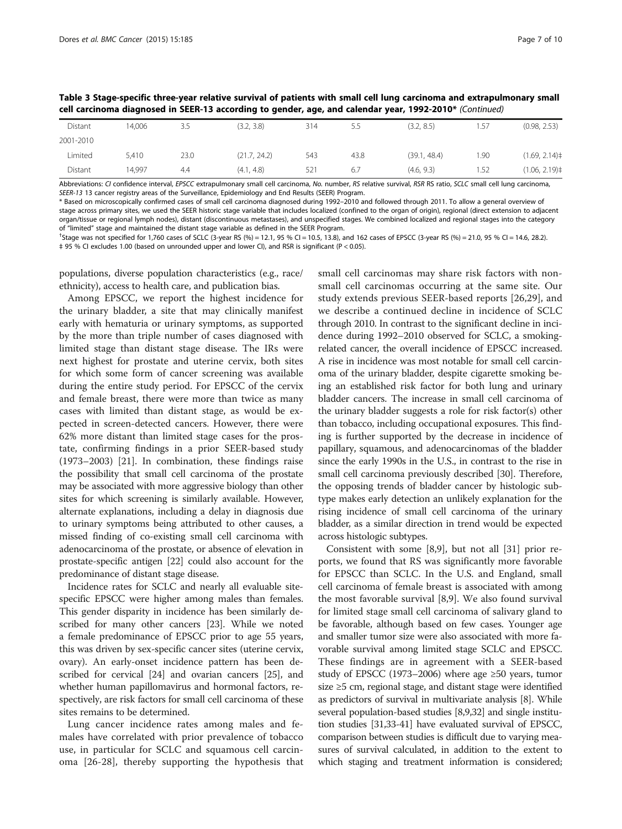| Distant   | 14.006 | 3.5  | (3.2, 3.8)   | 314             | 5.5  | (3.2, 8.5)   | i.57 | (0.98, 2.53)     |
|-----------|--------|------|--------------|-----------------|------|--------------|------|------------------|
| 2001-2010 |        |      |              |                 |      |              |      |                  |
| Limited   | 5,410  | 23.0 | (21.7, 24.2) | 543             | 43.8 | (39.1, 48.4) | .90  | $(1.69, 2.14)$ ‡ |
| Distant   | 14.997 | 4.4  | (4.1, 4.8)   | 52 <sup>1</sup> | 6.7  | (4.6, 9.3)   | 1.52 | $(1.06, 2.19)$ ‡ |

Table 3 Stage-specific three-year relative survival of patients with small cell lung carcinoma and extrapulmonary small cell carcinoma diagnosed in SEER-13 according to gender, age, and calendar year, 1992-2010\* (Continued)

Abbreviations: CI confidence interval, EPSCC extrapulmonary small cell carcinoma, No. number, RS relative survival, RSR RS ratio, SCLC small cell lung carcinoma, SEER-13 13 cancer registry areas of the Surveillance, Epidemiology and End Results (SEER) Program.

\* Based on microscopically confirmed cases of small cell carcinoma diagnosed during 1992–2010 and followed through 2011. To allow a general overview of stage across primary sites, we used the SEER historic stage variable that includes localized (confined to the organ of origin), regional (direct extension to adjacent organ/tissue or regional lymph nodes), distant (discontinuous metastases), and unspecified stages. We combined localized and regional stages into the category of "limited" stage and maintained the distant stage variable as defined in the SEER Program. †

<sup>+</sup>Stage was not specified for 1,760 cases of SCLC (3-year RS (%) = 12.1, 95 % CI = 10.5, 13.8), and 162 cases of EPSCC (3-year RS (%) = 21.0, 95 % CI = 14.6, 28.2).

‡ 95 % CI excludes 1.00 (based on unrounded upper and lower CI), and RSR is significant (P < 0.05).

populations, diverse population characteristics (e.g., race/ ethnicity), access to health care, and publication bias.

Among EPSCC, we report the highest incidence for the urinary bladder, a site that may clinically manifest early with hematuria or urinary symptoms, as supported by the more than triple number of cases diagnosed with limited stage than distant stage disease. The IRs were next highest for prostate and uterine cervix, both sites for which some form of cancer screening was available during the entire study period. For EPSCC of the cervix and female breast, there were more than twice as many cases with limited than distant stage, as would be expected in screen-detected cancers. However, there were 62% more distant than limited stage cases for the prostate, confirming findings in a prior SEER-based study (1973–2003) [\[21](#page-8-0)]. In combination, these findings raise the possibility that small cell carcinoma of the prostate may be associated with more aggressive biology than other sites for which screening is similarly available. However, alternate explanations, including a delay in diagnosis due to urinary symptoms being attributed to other causes, a missed finding of co-existing small cell carcinoma with adenocarcinoma of the prostate, or absence of elevation in prostate-specific antigen [\[22\]](#page-8-0) could also account for the predominance of distant stage disease.

Incidence rates for SCLC and nearly all evaluable sitespecific EPSCC were higher among males than females. This gender disparity in incidence has been similarly described for many other cancers [[23](#page-8-0)]. While we noted a female predominance of EPSCC prior to age 55 years, this was driven by sex-specific cancer sites (uterine cervix, ovary). An early-onset incidence pattern has been described for cervical [\[24](#page-8-0)] and ovarian cancers [[25](#page-8-0)], and whether human papillomavirus and hormonal factors, respectively, are risk factors for small cell carcinoma of these sites remains to be determined.

Lung cancer incidence rates among males and females have correlated with prior prevalence of tobacco use, in particular for SCLC and squamous cell carcinoma [[26-28](#page-8-0)], thereby supporting the hypothesis that

small cell carcinomas may share risk factors with nonsmall cell carcinomas occurring at the same site. Our study extends previous SEER-based reports [\[26](#page-8-0),[29\]](#page-8-0), and we describe a continued decline in incidence of SCLC through 2010. In contrast to the significant decline in incidence during 1992–2010 observed for SCLC, a smokingrelated cancer, the overall incidence of EPSCC increased. A rise in incidence was most notable for small cell carcinoma of the urinary bladder, despite cigarette smoking being an established risk factor for both lung and urinary bladder cancers. The increase in small cell carcinoma of the urinary bladder suggests a role for risk factor(s) other than tobacco, including occupational exposures. This finding is further supported by the decrease in incidence of papillary, squamous, and adenocarcinomas of the bladder since the early 1990s in the U.S., in contrast to the rise in small cell carcinoma previously described [\[30\]](#page-8-0). Therefore, the opposing trends of bladder cancer by histologic subtype makes early detection an unlikely explanation for the rising incidence of small cell carcinoma of the urinary bladder, as a similar direction in trend would be expected across histologic subtypes.

Consistent with some [\[8,9](#page-8-0)], but not all [\[31](#page-9-0)] prior reports, we found that RS was significantly more favorable for EPSCC than SCLC. In the U.S. and England, small cell carcinoma of female breast is associated with among the most favorable survival [[8](#page-8-0),[9\]](#page-8-0). We also found survival for limited stage small cell carcinoma of salivary gland to be favorable, although based on few cases. Younger age and smaller tumor size were also associated with more favorable survival among limited stage SCLC and EPSCC. These findings are in agreement with a SEER-based study of EPSCC (1973–2006) where age ≥50 years, tumor size ≥5 cm, regional stage, and distant stage were identified as predictors of survival in multivariate analysis [\[8](#page-8-0)]. While several population-based studies [\[8,9,](#page-8-0)[32](#page-9-0)] and single institution studies [\[31,33](#page-9-0)-[41](#page-9-0)] have evaluated survival of EPSCC, comparison between studies is difficult due to varying measures of survival calculated, in addition to the extent to which staging and treatment information is considered;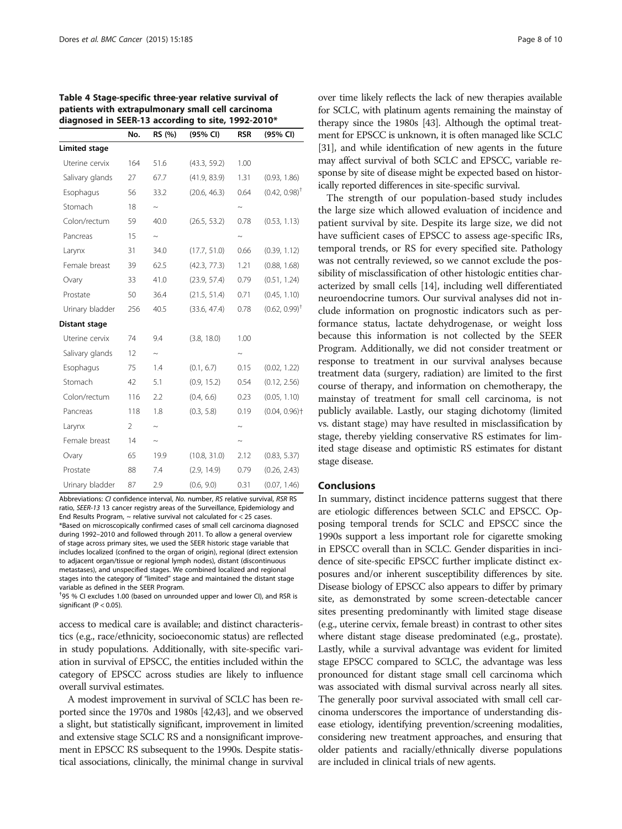| diagnosed in SEER-13 according to site, 1992-2010* |     |        |              |                           |                             |  |  |  |
|----------------------------------------------------|-----|--------|--------------|---------------------------|-----------------------------|--|--|--|
|                                                    | No. | RS (%) | (95% CI)     | <b>RSR</b>                | (95% CI)                    |  |  |  |
| Limited stage                                      |     |        |              |                           |                             |  |  |  |
| Uterine cervix                                     | 164 | 51.6   | (43.3, 59.2) | 1.00                      |                             |  |  |  |
| Salivary glands                                    | 27  | 67.7   | (41.9, 83.9) | 1.31                      | (0.93, 1.86)                |  |  |  |
| Esophagus                                          | 56  | 33.2   | (20.6, 46.3) | 0.64                      | $(0.42, 0.98)^+$            |  |  |  |
| Stomach                                            | 18  | $\sim$ |              | $\sim$                    |                             |  |  |  |
| Colon/rectum                                       | 59  | 40.0   | (26.5, 53.2) | 0.78                      | (0.53, 1.13)                |  |  |  |
| Pancreas                                           | 15  | $\sim$ |              | $\sim$                    |                             |  |  |  |
| Larynx                                             | 31  | 34.0   | (17.7, 51.0) | 0.66                      | (0.39, 1.12)                |  |  |  |
| Female breast                                      | 39  | 62.5   | (42.3, 77.3) | 1.21                      | (0.88, 1.68)                |  |  |  |
| Ovary                                              | 33  | 41.0   | (23.9, 57.4) | 0.79                      | (0.51, 1.24)                |  |  |  |
| Prostate                                           | 50  | 36.4   | (21.5, 51.4) | 0.71                      | (0.45, 1.10)                |  |  |  |
| Urinary bladder                                    | 256 | 40.5   | (33.6, 47.4) | 0.78                      | $(0.62, 0.99)^+$            |  |  |  |
| <b>Distant stage</b>                               |     |        |              |                           |                             |  |  |  |
| Uterine cervix                                     | 74  | 9.4    | (3.8, 18.0)  | 1.00                      |                             |  |  |  |
| Salivary glands                                    | 12  | $\sim$ |              | $\widetilde{\phantom{m}}$ |                             |  |  |  |
| Esophagus                                          | 75  | 1.4    | (0.1, 6.7)   | 0.15                      | (0.02, 1.22)                |  |  |  |
| Stomach                                            | 42  | 5.1    | (0.9, 15.2)  | 0.54                      | (0.12, 2.56)                |  |  |  |
| Colon/rectum                                       | 116 | 2.2    | (0.4, 6.6)   | 0.23                      | (0.05, 1.10)                |  |  |  |
| Pancreas                                           | 118 | 1.8    | (0.3, 5.8)   | 0.19                      | $(0.04, 0.96)$ <sup>+</sup> |  |  |  |
| Larynx                                             | 2   | $\sim$ |              | $\tilde{}$                |                             |  |  |  |
| Female breast                                      | 14  | $\sim$ |              | $\widetilde{\phantom{m}}$ |                             |  |  |  |
| Ovary                                              | 65  | 19.9   | (10.8, 31.0) | 2.12                      | (0.83, 5.37)                |  |  |  |
| Prostate                                           | 88  | 7.4    | (2.9, 14.9)  | 0.79                      | (0.26, 2.43)                |  |  |  |
| Urinary bladder                                    | 87  | 2.9    | (0.6, 9.0)   | 0.31                      | (0.07, 1.46)                |  |  |  |

<span id="page-7-0"></span>Table 4 Stage-specific three-year relative survival of patients with extrapulmonary small cell carcinoma

Abbreviations: CI confidence interval, No. number, RS relative survival, RSR RS ratio, SEER-13 13 cancer registry areas of the Surveillance, Epidemiology and End Results Program,  $\sim$  relative survival not calculated for  $<$  25 cases. \*Based on microscopically confirmed cases of small cell carcinoma diagnosed during 1992–2010 and followed through 2011. To allow a general overview of stage across primary sites, we used the SEER historic stage variable that includes localized (confined to the organ of origin), regional (direct extension to adjacent organ/tissue or regional lymph nodes), distant (discontinuous metastases), and unspecified stages. We combined localized and regional stages into the category of "limited" stage and maintained the distant stage variable as defined in the SEER Program.

† 95 % CI excludes 1.00 (based on unrounded upper and lower CI), and RSR is significant ( $P < 0.05$ ).

access to medical care is available; and distinct characteristics (e.g., race/ethnicity, socioeconomic status) are reflected in study populations. Additionally, with site-specific variation in survival of EPSCC, the entities included within the category of EPSCC across studies are likely to influence overall survival estimates.

A modest improvement in survival of SCLC has been reported since the 1970s and 1980s [\[42,43\]](#page-9-0), and we observed a slight, but statistically significant, improvement in limited and extensive stage SCLC RS and a nonsignificant improvement in EPSCC RS subsequent to the 1990s. Despite statistical associations, clinically, the minimal change in survival

over time likely reflects the lack of new therapies available for SCLC, with platinum agents remaining the mainstay of therapy since the 1980s [[43\]](#page-9-0). Although the optimal treatment for EPSCC is unknown, it is often managed like SCLC [[31](#page-9-0)], and while identification of new agents in the future may affect survival of both SCLC and EPSCC, variable response by site of disease might be expected based on historically reported differences in site-specific survival.

The strength of our population-based study includes the large size which allowed evaluation of incidence and patient survival by site. Despite its large size, we did not have sufficient cases of EPSCC to assess age-specific IRs, temporal trends, or RS for every specified site. Pathology was not centrally reviewed, so we cannot exclude the possibility of misclassification of other histologic entities characterized by small cells [\[14\]](#page-8-0), including well differentiated neuroendocrine tumors. Our survival analyses did not include information on prognostic indicators such as performance status, lactate dehydrogenase, or weight loss because this information is not collected by the SEER Program. Additionally, we did not consider treatment or response to treatment in our survival analyses because treatment data (surgery, radiation) are limited to the first course of therapy, and information on chemotherapy, the mainstay of treatment for small cell carcinoma, is not publicly available. Lastly, our staging dichotomy (limited vs. distant stage) may have resulted in misclassification by stage, thereby yielding conservative RS estimates for limited stage disease and optimistic RS estimates for distant stage disease.

#### Conclusions

In summary, distinct incidence patterns suggest that there are etiologic differences between SCLC and EPSCC. Opposing temporal trends for SCLC and EPSCC since the 1990s support a less important role for cigarette smoking in EPSCC overall than in SCLC. Gender disparities in incidence of site-specific EPSCC further implicate distinct exposures and/or inherent susceptibility differences by site. Disease biology of EPSCC also appears to differ by primary site, as demonstrated by some screen-detectable cancer sites presenting predominantly with limited stage disease (e.g., uterine cervix, female breast) in contrast to other sites where distant stage disease predominated (e.g., prostate). Lastly, while a survival advantage was evident for limited stage EPSCC compared to SCLC, the advantage was less pronounced for distant stage small cell carcinoma which was associated with dismal survival across nearly all sites. The generally poor survival associated with small cell carcinoma underscores the importance of understanding disease etiology, identifying prevention/screening modalities, considering new treatment approaches, and ensuring that older patients and racially/ethnically diverse populations are included in clinical trials of new agents.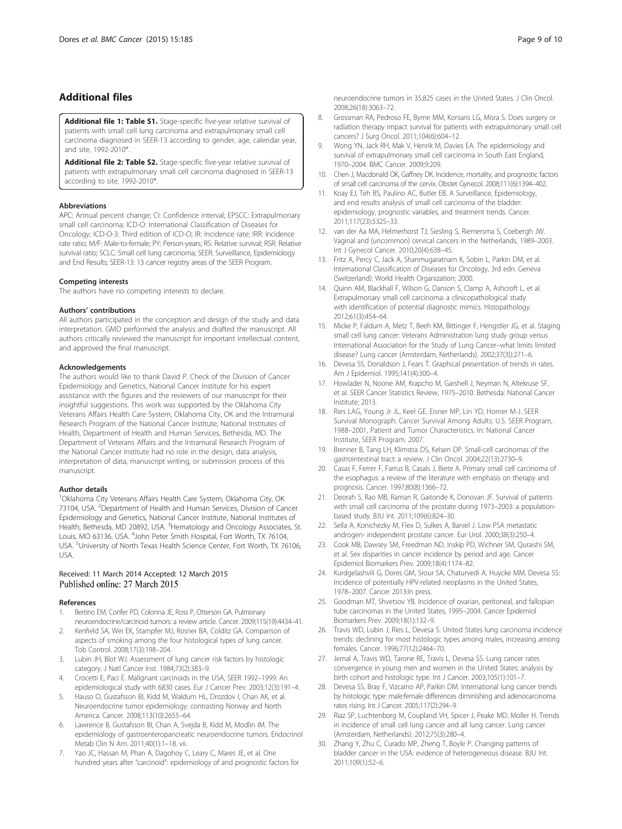#### <span id="page-8-0"></span>Additional files

[Additional file 1: Table S1.](http://www.biomedcentral.com/content/supplementary/s12885-015-1188-y-s1.docx) Stage-specific five-year relative survival of patients with small cell lung carcinoma and extrapulmonary small cell carcinoma diagnosed in SEER-13 according to gender, age, calendar year, and site, 1992-2010\*.

[Additional file 2: Table S2.](http://www.biomedcentral.com/content/supplementary/s12885-015-1188-y-s2.docx) Stage-specific five-year relative survival of patients with extrapulmonary small cell carcinoma diagnosed in SEER-13 according to site, 1992-2010\*.

#### **Abbreviations**

APC: Annual percent change; CI: Confidence interval; EPSCC: Extrapulmonary small cell carcinoma; ICD-O: International Classification of Diseases for Oncology; ICD-O-3: Third edition of ICD-O; IR: Incidence rate; IRR: Incidence rate ratio; M/F: Male-to-female; PY: Person-years; RS: Relative survival; RSR: Relative survival ratio; SCLC: Small cell lung carcinoma; SEER: Surveillance, Epidemiology and End Results; SEER-13: 13 cancer registry areas of the SEER Program.

#### Competing interests

The authors have no competing interests to declare.

#### Authors' contributions

All authors participated in the conception and design of the study and data interpretation. GMD performed the analysis and drafted the manuscript. All authors critically reviewed the manuscript for important intellectual content, and approved the final manuscript.

#### Acknowledgements

The authors would like to thank David P. Check of the Division of Cancer Epidemiology and Genetics, National Cancer Institute for his expert assistance with the figures and the reviewers of our manuscript for their insightful suggestions. This work was supported by the Oklahoma City Veterans Affairs Health Care System, Oklahoma City, OK and the Intramural Research Program of the National Cancer Institute, National Institutes of Health, Department of Health and Human Services, Bethesda, MD. The Department of Veterans Affairs and the Intramural Research Program of the National Cancer Institute had no role in the design, data analysis, interpretation of data, manuscript writing, or submission process of this manuscript.

#### Author details

<sup>1</sup>Oklahoma City Veterans Affairs Health Care System, Oklahoma City, OK 73104, USA. <sup>2</sup> Department of Health and Human Services, Division of Cancer Epidemiology and Genetics, National Cancer Institute, National Institutes of Health, Bethesda, MD 20892, USA. <sup>3</sup> Hematology and Oncology Associates, St. Louis, MO 63136, USA. <sup>4</sup>John Peter Smith Hospital, Fort Worth, TX 76104, USA. <sup>5</sup>University of North Texas Health Science Center, Fort Worth, TX 76106, USA.

## Received: 11 March 2014 Accepted: 12 March 2015<br>Published online: 27 March 2015

#### References

- Bertino EM, Confer PD, Colonna JE, Ross P, Otterson GA. Pulmonary neuroendocrine/carcinoid tumors: a review article. Cancer. 2009;115(19):4434–41.
- 2. Kenfield SA, Wei EK, Stampfer MJ, Rosner BA, Colditz GA. Comparison of aspects of smoking among the four histological types of lung cancer. Tob Control. 2008;17(3):198–204.
- 3. Lubin JH, Blot WJ. Assessment of lung cancer risk factors by histologic category. J Natl Cancer Inst. 1984;73(2):383–9.
- 4. Crocetti E, Paci E. Malignant carcinoids in the USA, SEER 1992–1999. An epidemiological study with 6830 cases. Eur J Cancer Prev. 2003;12(3):191–4.
- 5. Hauso O, Gustafsson BI, Kidd M, Waldum HL, Drozdov I, Chan AK, et al. Neuroendocrine tumor epidemiology: contrasting Norway and North America. Cancer. 2008;113(10):2655–64.
- 6. Lawrence B, Gustafsson BI, Chan A, Svejda B, Kidd M, Modlin IM. The epidemiology of gastroenteropancreatic neuroendocrine tumors. Endocrinol Metab Clin N Am. 2011;40(1):1–18. vii.
- 7. Yao JC, Hassan M, Phan A, Dagohoy C, Leary C, Mares JE, et al. One hundred years after "carcinoid": epidemiology of and prognostic factors for

neuroendocrine tumors in 35,825 cases in the United States. J Clin Oncol. 2008;26(18):3063–72.

- 8. Grossman RA, Pedroso FE, Byrne MM, Koniaris LG, Misra S. Does surgery or radiation therapy impact survival for patients with extrapulmonary small cell cancers? J Surg Oncol. 2011;104(6):604–12.
- 9. Wong YN, Jack RH, Mak V, Henrik M, Davies EA. The epidemiology and survival of extrapulmonary small cell carcinoma in South East England, 1970–2004. BMC Cancer. 2009;9:209.
- 10. Chen J, Macdonald OK, Gaffney DK. Incidence, mortality, and prognostic factors of small cell carcinoma of the cervix. Obstet Gynecol. 2008;111(6):1394–402.
- 11. Koay EJ, Teh BS, Paulino AC, Butler EB. A Surveillance, Epidemiology, and end results analysis of small cell carcinoma of the bladder: epidemiology, prognostic variables, and treatment trends. Cancer. 2011;117(23):5325–33.
- 12. van der Aa MA, Helmerhorst TJ, Siesling S, Riemersma S, Coebergh JW. Vaginal and (uncommon) cervical cancers in the Netherlands, 1989–2003. Int J Gynecol Cancer. 2010;20(4):638–45.
- 13. Fritz A, Percy C, Jack A, Shanmugaratnam K, Sobin L, Parkin DM, et al. International Classification of Diseases for Oncology, 3rd edn. Geneva (Switzerland): World Health Organization; 2000.
- 14. Quinn AM, Blackhall F, Wilson G, Danson S, Clamp A, Ashcroft L, et al. Extrapulmonary small cell carcinoma: a clinicopathological study with identification of potential diagnostic mimics. Histopathology. 2012;61(3):454–64.
- 15. Micke P, Faldum A, Metz T, Beeh KM, Bittinger F, Hengstler JG, et al. Staging small cell lung cancer: Veterans Administration lung study group versus International Association for the Study of Lung Cancer–what limits limited disease? Lung cancer (Amsterdam, Netherlands). 2002;37(3)):271–6.
- 16. Devesa SS, Donaldson J, Fears T. Graphical presentation of trends in rates. Am J Epidemiol. 1995;141(4):300–4.
- 17. Howlader N, Noone AM, Krapcho M, Garshell J, Neyman N, Altekruse SF, et al. SEER Cancer Statistics Review, 1975–2010. Bethesda: National Cancer Institute; 2013.
- 18. Ries LAG, Young Jr JL, Keel GE, Eisner MP, Lin YD, Horner M-J. SEER Survival Monograph: Cancer Survival Among Adults: U.S. SEER Program, 1988–2001, Patient and Tumor Characteristics. In: National Cancer Institute, SEER Program. 2007.
- 19. Brenner B, Tang LH, Klimstra DS, Kelsen DP. Small-cell carcinomas of the gastrointestinal tract: a review. J Clin Oncol. 2004;22(13):2730–9.
- 20. Casas F, Ferrer F, Farrus B, Casals J, Biete A. Primary small cell carcinoma of the esophagus: a review of the literature with emphasis on therapy and prognosis. Cancer. 1997;80(8):1366–72.
- 21. Deorah S, Rao MB, Raman R, Gaitonde K, Donovan JF. Survival of patients with small cell carcinoma of the prostate during 1973–2003: a populationbased study. BJU Int. 2011;109(6):824–30.
- 22. Sella A, Konichezky M, Flex D, Sulkes A, Baniel J. Low PSA metastatic androgen- independent prostate cancer. Eur Urol. 2000;38(3):250–4.
- 23. Cook MB, Dawsey SM, Freedman ND, Inskip PD, Wichner SM, Quraishi SM, et al. Sex disparities in cancer incidence by period and age. Cancer Epidemiol Biomarkers Prev. 2009;18(4):1174–82.
- 24. Kurdgelashvili G, Dores GM, Srour SA, Chaturvedi A, Huycke MM, Devesa SS: Incidence of potentially HPV-related neoplasms in the United States, 1978–2007. Cancer 2013:In press.
- 25. Goodman MT, Shvetsov YB. Incidence of ovarian, peritoneal, and fallopian tube carcinomas in the United States, 1995–2004. Cancer Epidemiol Biomarkers Prev. 2009;18(1):132–9.
- 26. Travis WD, Lubin J, Ries L, Devesa S. United States lung carcinoma incidence trends: declining for most histologic types among males, increasing among females. Cancer. 1996;77(12):2464–70.
- 27. Jemal A, Travis WD, Tarone RE, Travis L, Devesa SS. Lung cancer rates convergence in young men and women in the United States: analysis by birth cohort and histologic type. Int J Cancer. 2003;105(1):101–7.
- 28. Devesa SS, Bray F, Vizcaino AP, Parkin DM. International lung cancer trends by histologic type: male:female differences diminishing and adenocarcinoma rates rising. Int J Cancer. 2005;117(2):294–9.
- 29. Riaz SP, Luchtenborg M, Coupland VH, Spicer J, Peake MD, Moller H. Trends in incidence of small cell lung cancer and all lung cancer. Lung cancer (Amsterdam, Netherlands). 2012;75(3):280–4.
- 30. Zhang Y, Zhu C, Curado MP, Zheng T, Boyle P. Changing patterns of bladder cancer in the USA: evidence of heterogeneous disease. BJU Int. 2011;109(1):52–6.